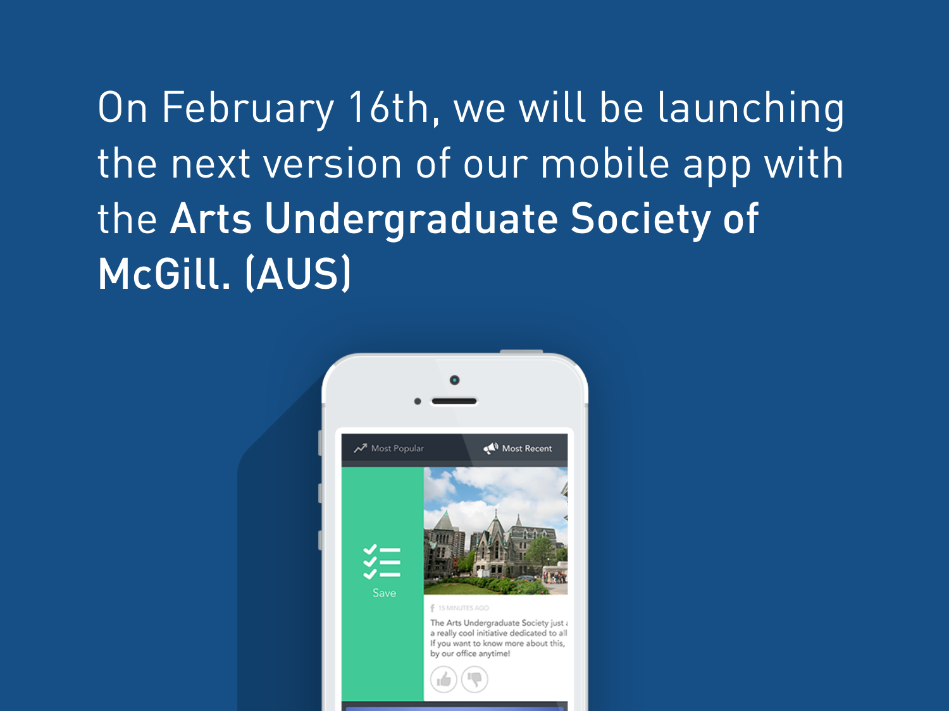On February 16th, we will be launching the next version of our mobile app with the Arts Undergraduate Society of McGill. (AUS)

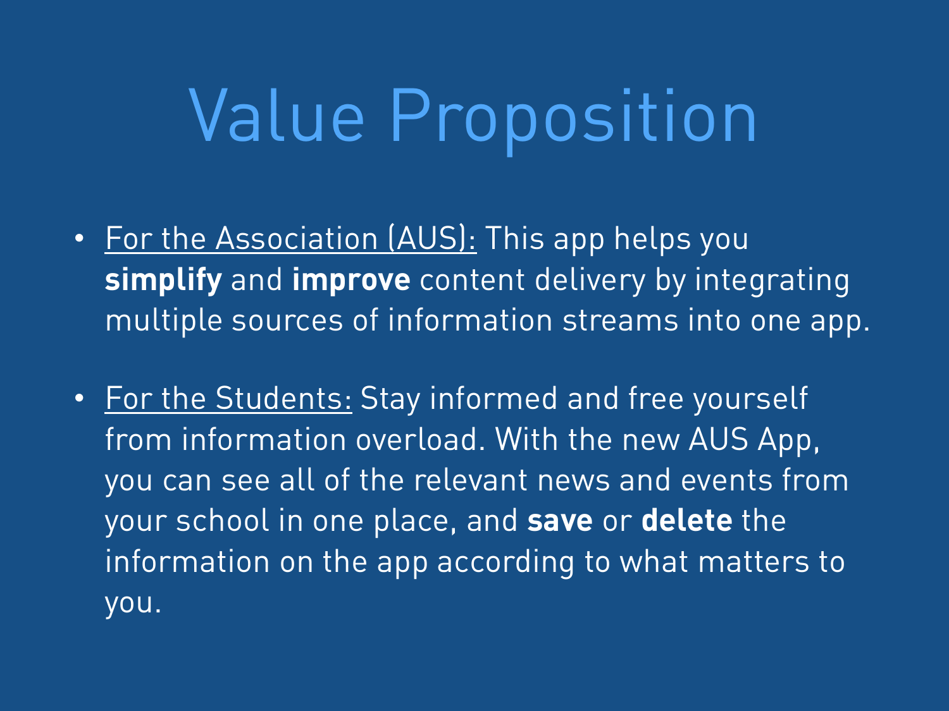## Value Proposition

- For the Association (AUS): This app helps you **simplify** and **improve** content delivery by integrating multiple sources of information streams into one app.
- For the Students: Stay informed and free yourself from information overload. With the new AUS App, you can see all of the relevant news and events from your school in one place, and **save** or **delete** the information on the app according to what matters to you.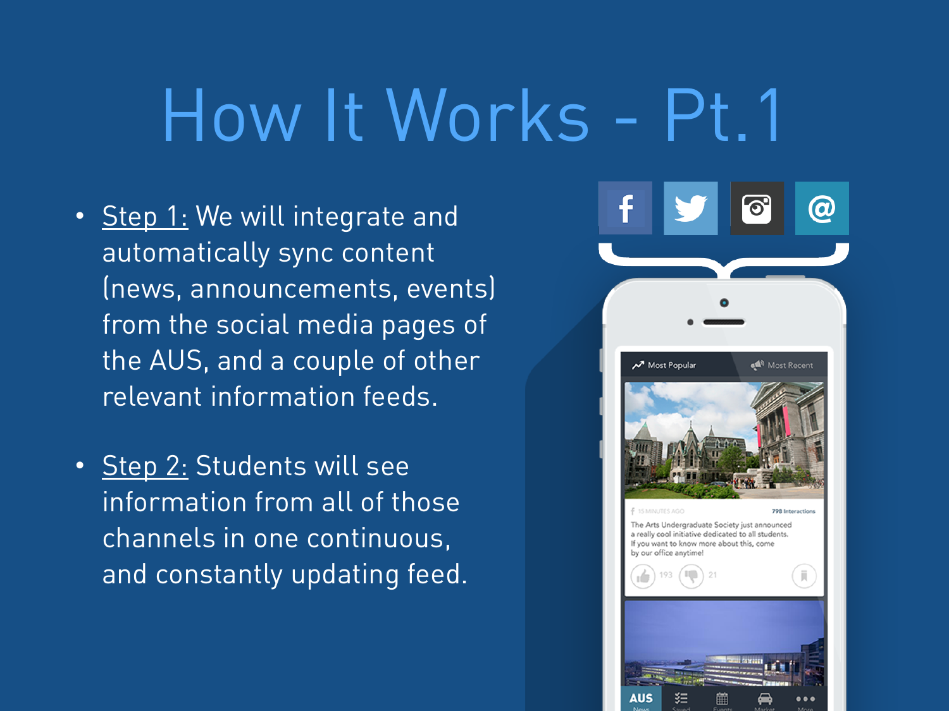## How It Works - Pt.1

- Step 1: We will integrate and automatically sync content (news, announcements, events) from the social media pages of the AUS, and a couple of other relevant information feeds.
- Step 2: Students will see information from all of those channels in one continuous, and constantly updating feed.

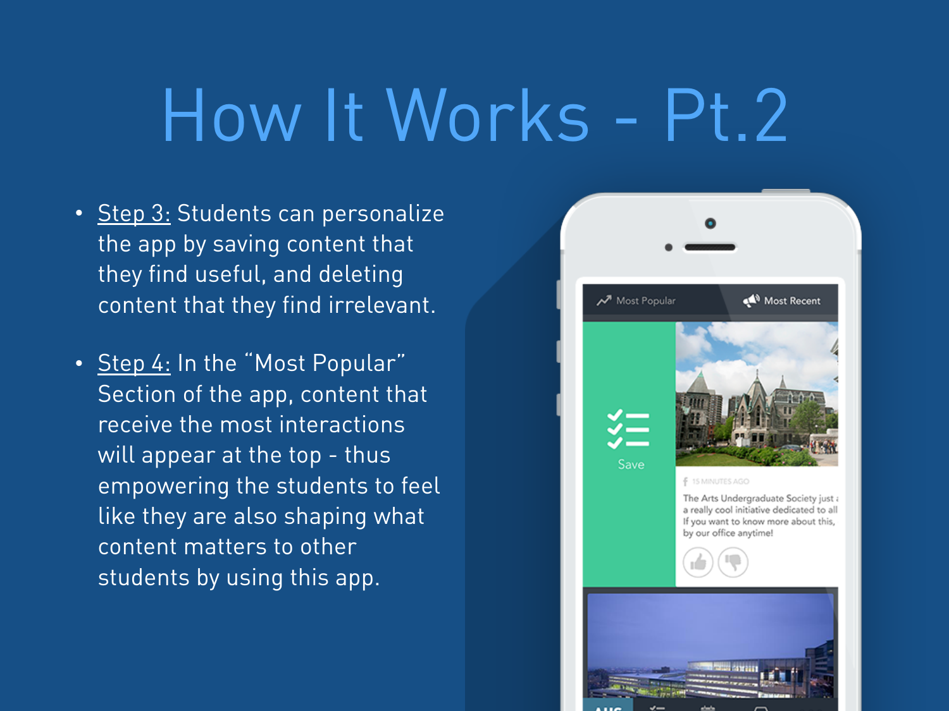## How It Works - Pt.2

- Step 3: Students can personalize the app by saving content that they find useful, and deleting content that they find irrelevant.
- Step 4: In the "Most Popular" Section of the app, content that receive the most interactions will appear at the top - thus empowering the students to feel like they are also shaping what content matters to other students by using this app.

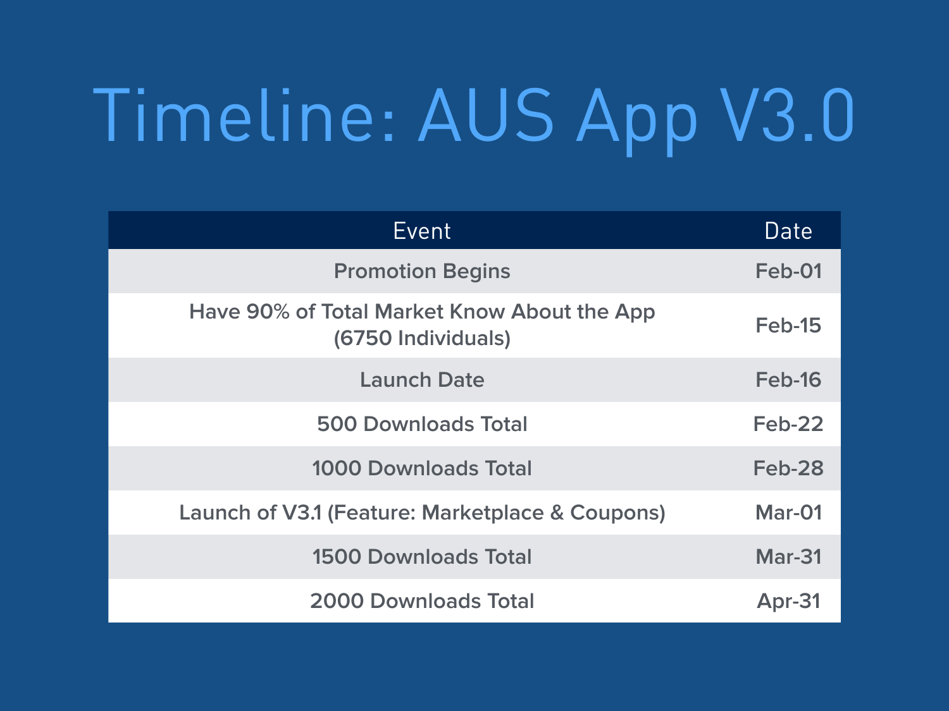# Timeline: AUS App V3.0

| Event                                                             | Date          |
|-------------------------------------------------------------------|---------------|
| <b>Promotion Begins</b>                                           | Feb-01        |
| Have 90% of Total Market Know About the App<br>(6750 Individuals) | Feb-15        |
| <b>Launch Date</b>                                                | Feb-16        |
| <b>500 Downloads Total</b>                                        | <b>Feb-22</b> |
| <b>1000 Downloads Total</b>                                       | <b>Feb-28</b> |
| Launch of V3.1 (Feature: Marketplace & Coupons)                   | Mar-01        |
| <b>1500 Downloads Total</b>                                       | <b>Mar-31</b> |
| <b>2000 Downloads Total</b>                                       | Apr-31        |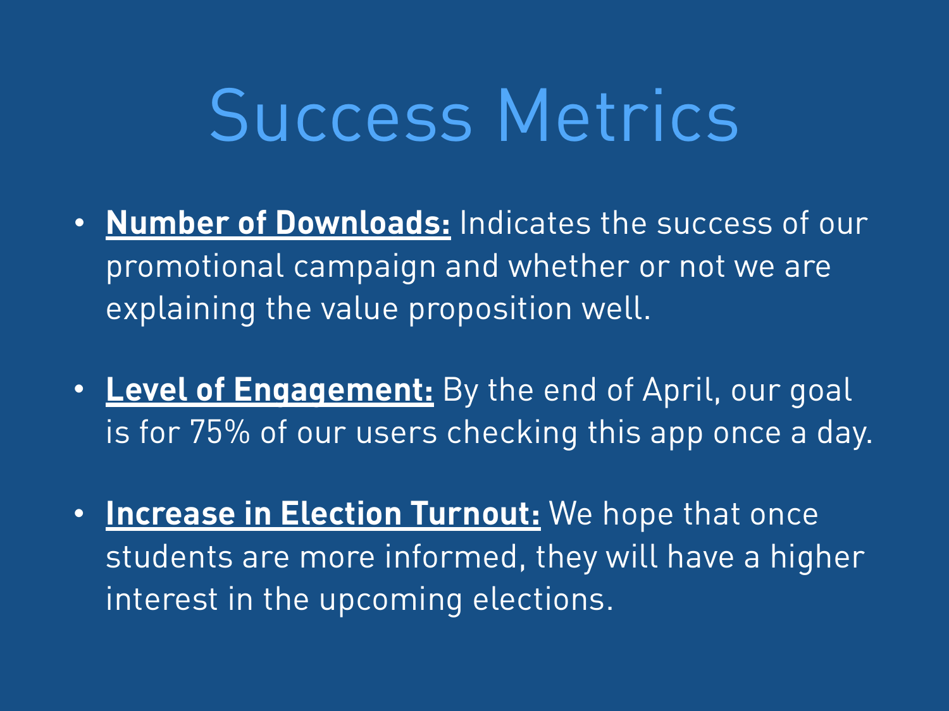#### Success Metrics

- **Number of Downloads:** Indicates the success of our promotional campaign and whether or not we are explaining the value proposition well.
- **• Level of Engagement:** By the end of April, our goal is for 75% of our users checking this app once a day.
- **• Increase in Election Turnout:** We hope that once students are more informed, they will have a higher interest in the upcoming elections.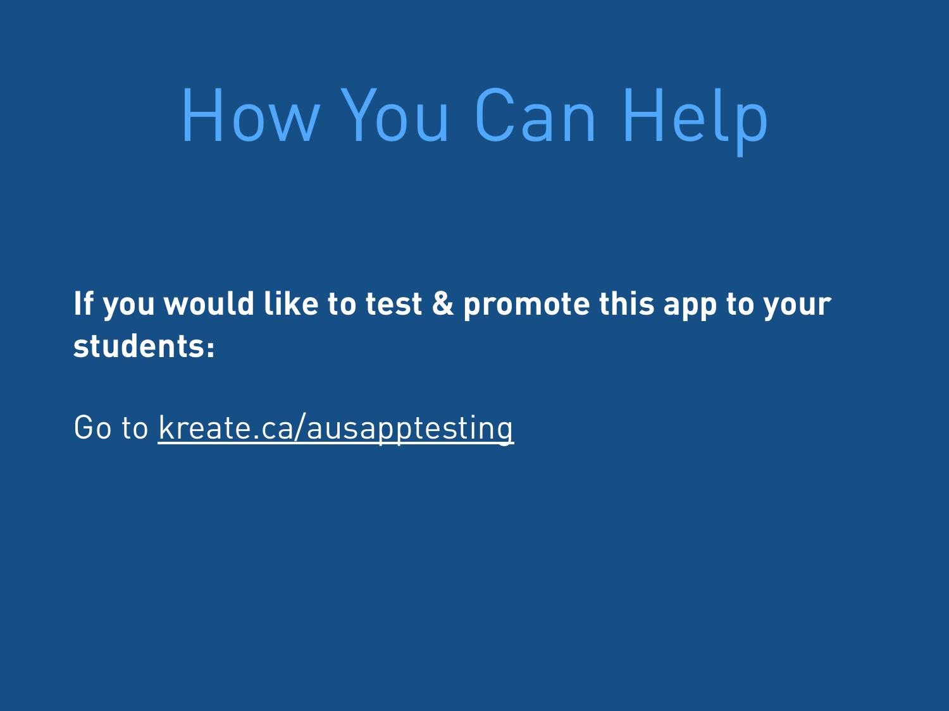## How You Can Help

**If you would like to test & promote this app to your students:** 

Go to [kreate.ca/ausapptesting](http://kreate.ca/ausapptesting)